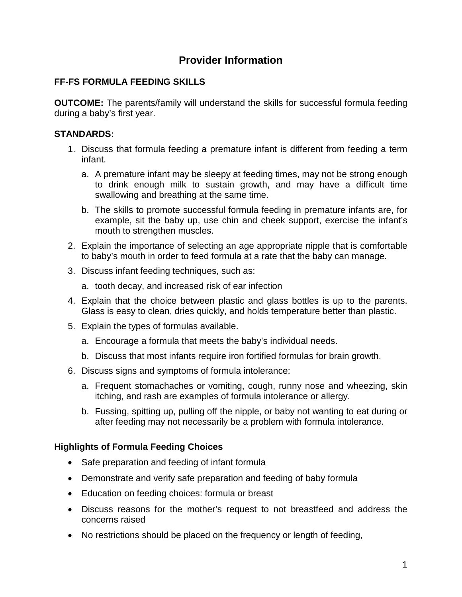# **Provider Information**

## **FF-FS FORMULA FEEDING SKILLS**

**OUTCOME:** The parents/family will understand the skills for successful formula feeding during a baby's first year.

## **STANDARDS:**

- 1. Discuss that formula feeding a premature infant is different from feeding a term infant.
	- a. A premature infant may be sleepy at feeding times, may not be strong enough to drink enough milk to sustain growth, and may have a difficult time swallowing and breathing at the same time.
	- b. The skills to promote successful formula feeding in premature infants are, for example, sit the baby up, use chin and cheek support, exercise the infant's mouth to strengthen muscles.
- 2. Explain the importance of selecting an age appropriate nipple that is comfortable to baby's mouth in order to feed formula at a rate that the baby can manage.
- 3. Discuss infant feeding techniques, such as:
	- a. tooth decay, and increased risk of ear infection
- 4. Explain that the choice between plastic and glass bottles is up to the parents. Glass is easy to clean, dries quickly, and holds temperature better than plastic.
- 5. Explain the types of formulas available.
	- a. Encourage a formula that meets the baby's individual needs.
	- b. Discuss that most infants require iron fortified formulas for brain growth.
- 6. Discuss signs and symptoms of formula intolerance:
	- a. Frequent stomachaches or vomiting, cough, runny nose and wheezing, skin itching, and rash are examples of formula intolerance or allergy.
	- b. Fussing, spitting up, pulling off the nipple, or baby not wanting to eat during or after feeding may not necessarily be a problem with formula intolerance.

## **Highlights of Formula Feeding Choices**

- Safe preparation and feeding of infant formula
- Demonstrate and verify safe preparation and feeding of baby formula
- Education on feeding choices: formula or breast
- Discuss reasons for the mother's request to not breastfeed and address the concerns raised
- No restrictions should be placed on the frequency or length of feeding,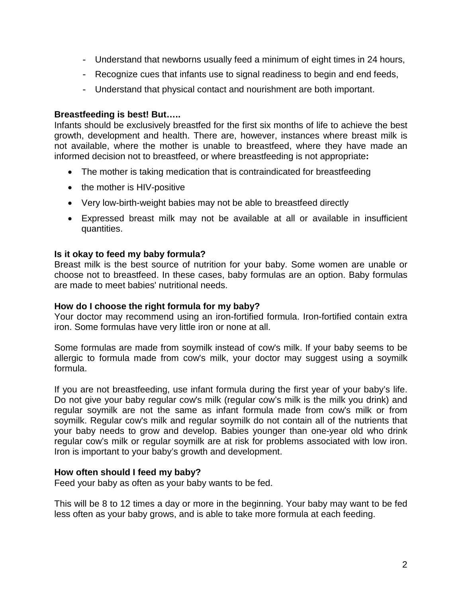- Understand that newborns usually feed a minimum of eight times in 24 hours,
- Recognize cues that infants use to signal readiness to begin and end feeds,
- Understand that physical contact and nourishment are both important.

### **Breastfeeding is best! But…..**

Infants should be exclusively breastfed for the first six months of life to achieve the best growth, development and health. There are, however, instances where breast milk is not available, where the mother is unable to breastfeed, where they have made an informed decision not to breastfeed, or where breastfeeding is not appropriate**:**

- The mother is taking medication that is contraindicated for breastfeeding
- the mother is HIV-positive
- Very low-birth-weight babies may not be able to breastfeed directly
- Expressed breast milk may not be available at all or available in insufficient quantities.

#### **Is it okay to feed my baby formula?**

Breast milk is the best source of nutrition for your baby. Some women are unable or choose not to breastfeed. In these cases, baby formulas are an option. Baby formulas are made to meet babies' nutritional needs.

#### **How do I choose the right formula for my baby?**

Your doctor may recommend using an iron-fortified formula. Iron-fortified contain extra iron. Some formulas have very little iron or none at all.

Some formulas are made from soymilk instead of cow's milk. If your baby seems to be allergic to formula made from cow's milk, your doctor may suggest using a soymilk formula.

If you are not breastfeeding, use infant formula during the first year of your baby's life. Do not give your baby regular cow's milk (regular cow's milk is the milk you drink) and regular soymilk are not the same as infant formula made from cow's milk or from soymilk. Regular cow's milk and regular soymilk do not contain all of the nutrients that your baby needs to grow and develop. Babies younger than one-year old who drink regular cow's milk or regular soymilk are at risk for problems associated with low iron. Iron is important to your baby's growth and development.

#### **How often should I feed my baby?**

Feed your baby as often as your baby wants to be fed.

This will be 8 to 12 times a day or more in the beginning. Your baby may want to be fed less often as your baby grows, and is able to take more formula at each feeding.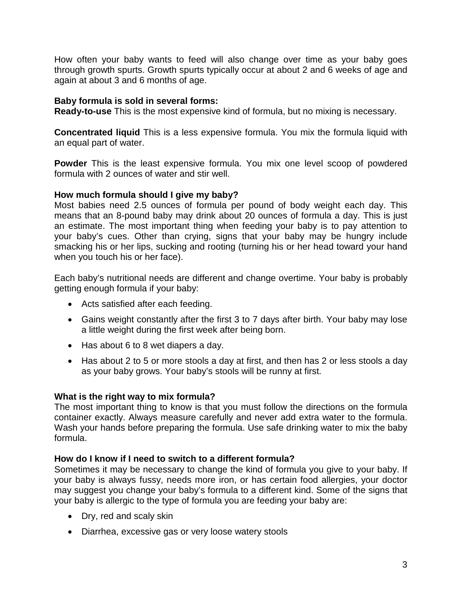How often your baby wants to feed will also change over time as your baby goes through growth spurts. Growth spurts typically occur at about 2 and 6 weeks of age and again at about 3 and 6 months of age.

#### **Baby formula is sold in several forms:**

**Ready-to-use** This is the most expensive kind of formula, but no mixing is necessary.

**Concentrated liquid** This is a less expensive formula. You mix the formula liquid with an equal part of water.

**Powder** This is the least expensive formula. You mix one level scoop of powdered formula with 2 ounces of water and stir well.

### **How much formula should I give my baby?**

Most babies need 2.5 ounces of formula per pound of body weight each day. This means that an 8-pound baby may drink about 20 ounces of formula a day. This is just an estimate. The most important thing when feeding your baby is to pay attention to your baby's cues. Other than crying, signs that your baby may be hungry include smacking his or her lips, sucking and rooting (turning his or her head toward your hand when you touch his or her face).

Each baby's nutritional needs are different and change overtime. Your baby is probably getting enough formula if your baby:

- Acts satisfied after each feeding.
- Gains weight constantly after the first 3 to 7 days after birth. Your baby may lose a little weight during the first week after being born.
- Has about 6 to 8 wet diapers a day.
- Has about 2 to 5 or more stools a day at first, and then has 2 or less stools a day as your baby grows. Your baby's stools will be runny at first.

#### **What is the right way to mix formula?**

The most important thing to know is that you must follow the directions on the formula container exactly. Always measure carefully and never add extra water to the formula. Wash your hands before preparing the formula. Use safe drinking water to mix the baby formula.

#### **How do I know if I need to switch to a different formula?**

Sometimes it may be necessary to change the kind of formula you give to your baby. If your baby is always fussy, needs more iron, or has certain food allergies, your doctor may suggest you change your baby's formula to a different kind. Some of the signs that your baby is allergic to the type of formula you are feeding your baby are:

- Dry, red and scaly skin
- Diarrhea, excessive gas or very loose watery stools